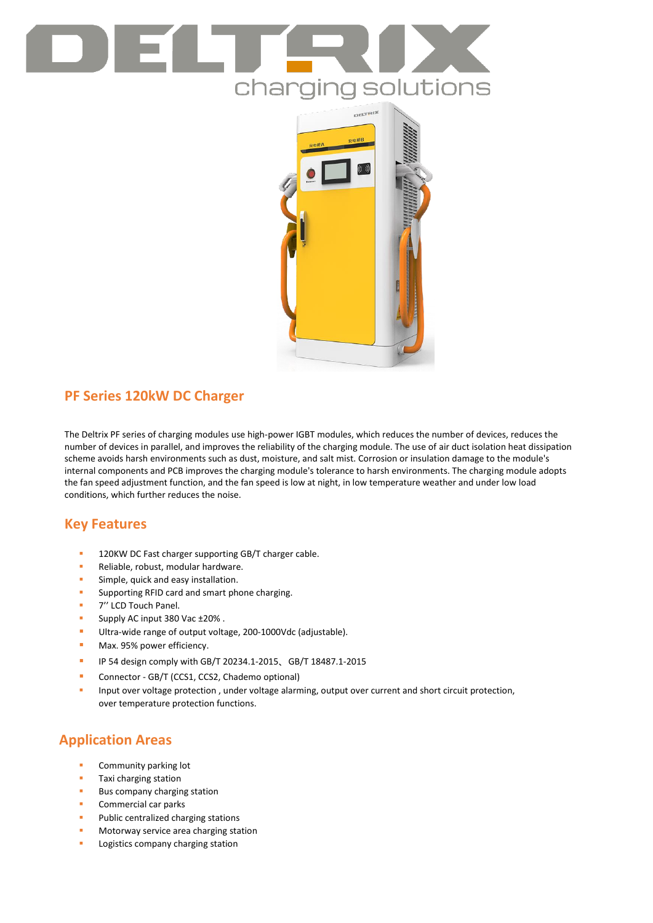



# **PF Series 120kW DC Charger**

The Deltrix PF series of charging modules use high-power IGBT modules, which reduces the number of devices, reduces the number of devices in parallel, and improves the reliability of the charging module. The use of air duct isolation heat dissipation scheme avoids harsh environments such as dust, moisture, and salt mist. Corrosion or insulation damage to the module's internal components and PCB improves the charging module's tolerance to harsh environments. The charging module adopts the fan speed adjustment function, and the fan speed is low at night, in low temperature weather and under low load conditions, which further reduces the noise.

## **Key Features**

- 120KW DC Fast charger supporting GB/T charger cable.
- Reliable, robust, modular hardware.
- **Simple, quick and easy installation.**
- Supporting RFID card and smart phone charging.
- **T** 7" LCD Touch Panel.
- Supply AC input 380 Vac ±20% .
- Ultra-wide range of output voltage, 200-1000Vdc (adjustable).
- **Max. 95% power efficiency.**
- IP 54 design comply with GB/T 20234.1-2015、GB/T 18487.1-2015
- **Connector GB/T (CCS1, CCS2, Chademo optional)**
- Input over voltage protection , under voltage alarming, output over current and short circuit protection, over temperature protection functions.

## **Application Areas**

- Community parking lot
- Taxi charging station
- Bus company charging station
- Commercial car parks
- Public centralized charging stations
- Motorway service area charging station
- Logistics company charging station